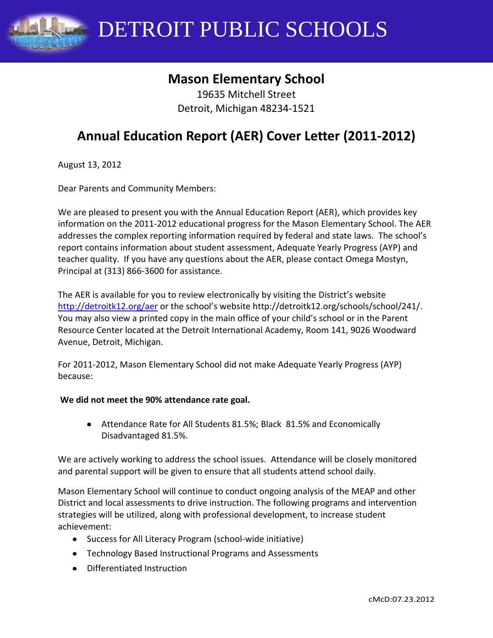

DETROIT PUBLIC SCHOOLS

## **Mason Elementary School**

19635 Mitchell Street Detroit, Michigan 48234-1521

# **Annual Education Report (AER) Cover Letter (2011-2012)**

August 13, 2012

Dear Parents and Community Members:

We are pleased to present you with the Annual Education Report (AER), which provides key information on the 2011-2012 educational progress for the Mason Elementary School. The AER addresses the complex reporting information required by federal and state laws. The school's report contains information about student assessment, Adequate Yearly Progress (AYP) and teacher quality. If you have any questions about the AER, please contact Omega Mostyn, Principal at (313) 866-3600 for assistance.

The AER is available for you to review electronically by visiting the District's website <http://detroitk12.org/aer> or the school's website http://detroitk12.org/schools/school/241/. You may also view a printed copy in the main office of your child's school or in the Parent Resource Center located at the Detroit International Academy, Room 141, 9026 Woodward Avenue, Detroit, Michigan.

For 2011-2012, Mason Elementary School did not make Adequate Yearly Progress (AYP) because:

#### **We did not meet the 90% attendance rate goal.**

Attendance Rate for All Students 81.5%; Black 81.5% and Economically Disadvantaged 81.5%.

We are actively working to address the school issues. Attendance will be closely monitored and parental support will be given to ensure that all students attend school daily.

Mason Elementary School will continue to conduct ongoing analysis of the MEAP and other District and local assessments to drive instruction. The following programs and intervention strategies will be utilized, along with professional development, to increase student achievement:

- Success for All Literacy Program (school-wide initiative)
- Technology Based Instructional Programs and Assessments
- Differentiated Instruction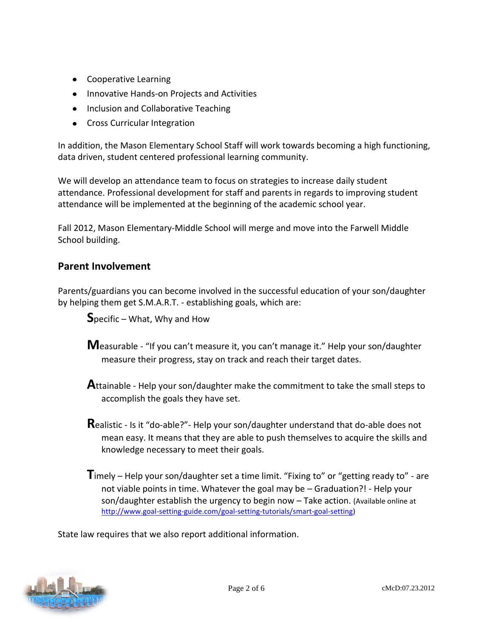- Cooperative Learning
- Innovative Hands-on Projects and Activities
- Inclusion and Collaborative Teaching
- Cross Curricular Integration

In addition, the Mason Elementary School Staff will work towards becoming a high functioning, data driven, student centered professional learning community.

We will develop an attendance team to focus on strategies to increase daily student attendance. Professional development for staff and parents in regards to improving student attendance will be implemented at the beginning of the academic school year.

Fall 2012, Mason Elementary-Middle School will merge and move into the Farwell Middle School building.

### **Parent Involvement**

Parents/guardians you can become involved in the successful education of your son/daughter by helping them get S.M.A.R.T. - establishing goals, which are:

**S**pecific – What, Why and How

- **M**easurable "If you can't measure it, you can't manage it." Help your son/daughter measure their progress, stay on track and reach their target dates.
- **A**ttainable Help your son/daughter make the commitment to take the small steps to accomplish the goals they have set.
- **R**ealistic Is it "do-able?"- Help your son/daughter understand that do-able does not mean easy. It means that they are able to push themselves to acquire the skills and knowledge necessary to meet their goals.
- **T**imely Help your son/daughter set a time limit. "Fixing to" or "getting ready to" are not viable points in time. Whatever the goal may be – Graduation?! - Help your son/daughter establish the urgency to begin now – Take action. (Available online at [http://www.goal-setting-guide.com/goal-setting-tutorials/smart-goal-setting\)](http://www.goal-setting-guide.com/goal-setting-tutorials/smart-goal-setting)

State law requires that we also report additional information.

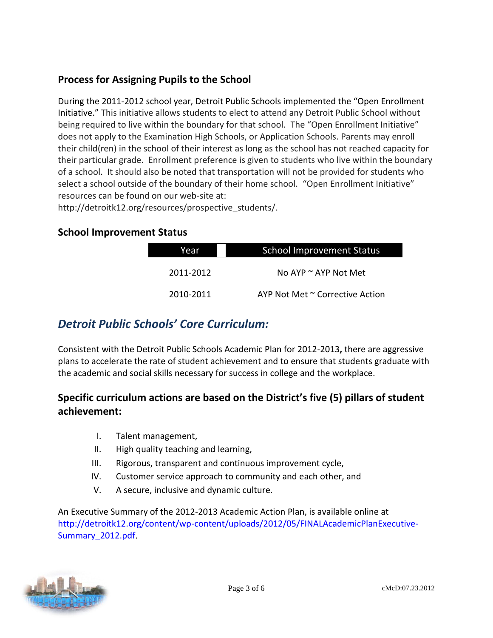### **Process for Assigning Pupils to the School**

During the 2011-2012 school year, Detroit Public Schools implemented the "Open Enrollment Initiative." This initiative allows students to elect to attend any Detroit Public School without being required to live within the boundary for that school. The "Open Enrollment Initiative" does not apply to the Examination High Schools, or Application Schools. Parents may enroll their child(ren) in the school of their interest as long as the school has not reached capacity for their particular grade. Enrollment preference is given to students who live within the boundary of a school. It should also be noted that transportation will not be provided for students who select a school outside of the boundary of their home school. "Open Enrollment Initiative" resources can be found on our web-site at:

http://detroitk12.org/resources/prospective\_students/.

### **School Improvement Status**

| Year      | <b>School Improvement Status</b> |  |  |
|-----------|----------------------------------|--|--|
| 2011-2012 | No AYP $\sim$ AYP Not Met        |  |  |
| 2010-2011 | AYP Not Met ~ Corrective Action  |  |  |

### *Detroit Public Schools' Core Curriculum:*

Consistent with the Detroit Public Schools Academic Plan for 2012-2013**,** there are aggressive plans to accelerate the rate of student achievement and to ensure that students graduate with the academic and social skills necessary for success in college and the workplace.

### **Specific curriculum actions are based on the District's five (5) pillars of student achievement:**

- I. Talent management,
- II. High quality teaching and learning,
- III. Rigorous, transparent and continuous improvement cycle,
- IV. Customer service approach to community and each other, and
- V. A secure, inclusive and dynamic culture.

An Executive Summary of the 2012-2013 Academic Action Plan, is available online at [http://detroitk12.org/content/wp-content/uploads/2012/05/FINALAcademicPlanExecutive-](http://detroitk12.org/content/wp-content/uploads/2012/05/FINALAcademicPlanExecutive-Summary_2012.pdf)[Summary\\_2012.pdf](http://detroitk12.org/content/wp-content/uploads/2012/05/FINALAcademicPlanExecutive-Summary_2012.pdf).

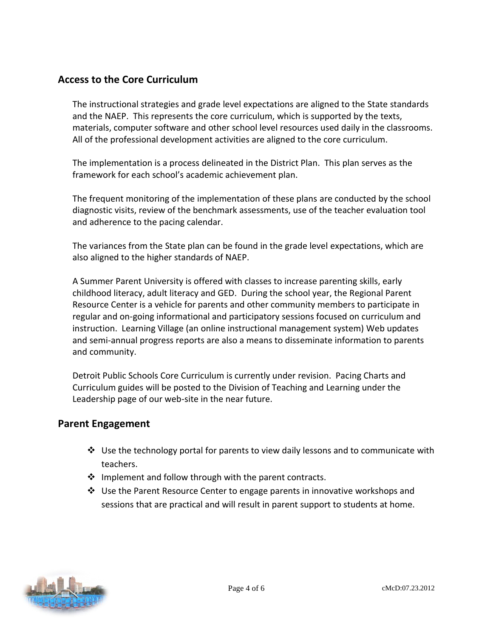### **Access to the Core Curriculum**

The instructional strategies and grade level expectations are aligned to the State standards and the NAEP. This represents the core curriculum, which is supported by the texts, materials, computer software and other school level resources used daily in the classrooms. All of the professional development activities are aligned to the core curriculum.

The implementation is a process delineated in the District Plan. This plan serves as the framework for each school's academic achievement plan.

The frequent monitoring of the implementation of these plans are conducted by the school diagnostic visits, review of the benchmark assessments, use of the teacher evaluation tool and adherence to the pacing calendar.

The variances from the State plan can be found in the grade level expectations, which are also aligned to the higher standards of NAEP.

A Summer Parent University is offered with classes to increase parenting skills, early childhood literacy, adult literacy and GED. During the school year, the Regional Parent Resource Center is a vehicle for parents and other community members to participate in regular and on-going informational and participatory sessions focused on curriculum and instruction. Learning Village (an online instructional management system) Web updates and semi-annual progress reports are also a means to disseminate information to parents and community.

Detroit Public Schools Core Curriculum is currently under revision. Pacing Charts and Curriculum guides will be posted to the Division of Teaching and Learning under the Leadership page of our web-site in the near future.

### **Parent Engagement**

- $\div$  Use the technology portal for parents to view daily lessons and to communicate with teachers.
- $\cdot \cdot$  Implement and follow through with the parent contracts.
- Use the Parent Resource Center to engage parents in innovative workshops and sessions that are practical and will result in parent support to students at home.

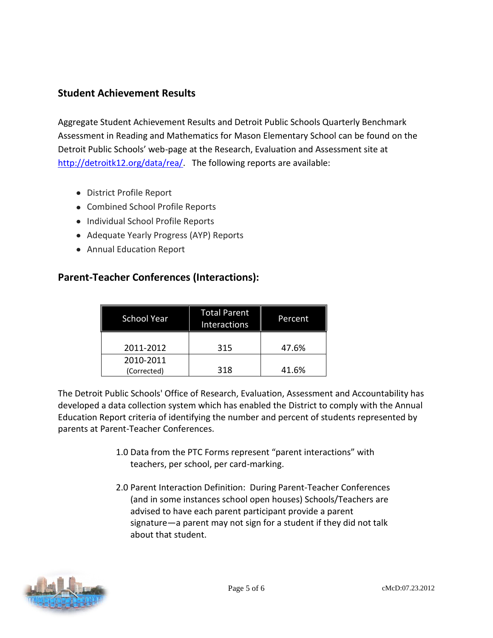### **Student Achievement Results**

Aggregate Student Achievement Results and Detroit Public Schools Quarterly Benchmark Assessment in Reading and Mathematics for Mason Elementary School can be found on the Detroit Public Schools' web-page at the Research, Evaluation and Assessment site at [http://detroitk12.org/data/rea/.](http://detroitk12.org/data/rea/) The following reports are available:

- District Profile Report
- Combined School Profile Reports
- Individual School Profile Reports
- Adequate Yearly Progress (AYP) Reports
- Annual Education Report

### **Parent-Teacher Conferences (Interactions):**

| <b>School Year</b>       | <b>Total Parent</b><br>Interactions | Percent |
|--------------------------|-------------------------------------|---------|
| 2011-2012                | 315                                 | 47.6%   |
| 2010-2011<br>(Corrected) | 318                                 | 41.6%   |

The Detroit Public Schools' Office of Research, Evaluation, Assessment and Accountability has developed a data collection system which has enabled the District to comply with the Annual Education Report criteria of identifying the number and percent of students represented by parents at Parent-Teacher Conferences.

- 1.0 Data from the PTC Forms represent "parent interactions" with teachers, per school, per card-marking.
- 2.0 Parent Interaction Definition: During Parent-Teacher Conferences (and in some instances school open houses) Schools/Teachers are advised to have each parent participant provide a parent signature—a parent may not sign for a student if they did not talk about that student.